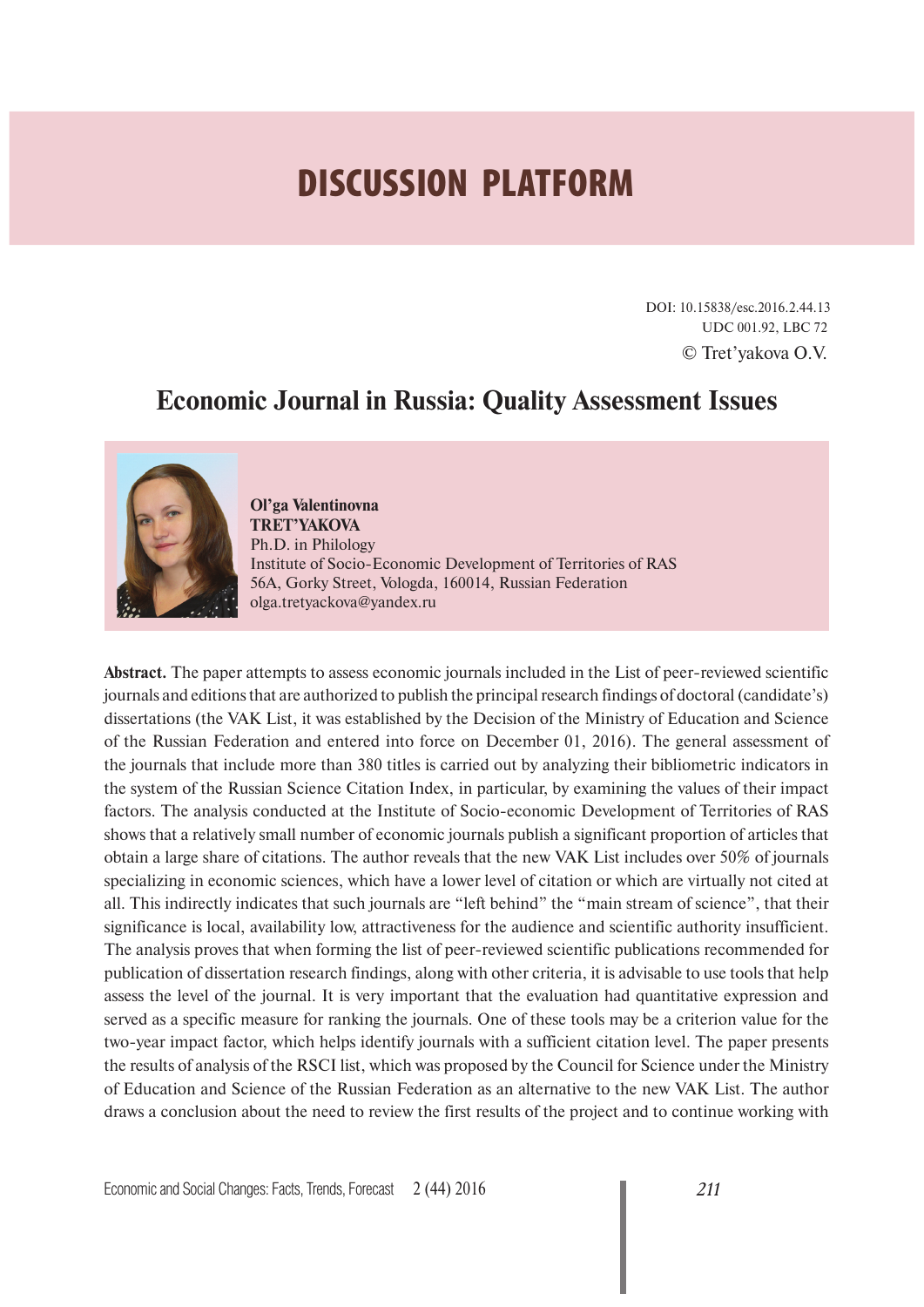# **DISCUSSION PLATFORM**

DOI: 10.15838/esc.2016.2.44.13 UDC 001.92, LBC 72 © Tret'yakova O.V.

# **Economic Journal in Russia: Quality Assessment Issues**



**Ol'ga Valentinovna TRET'YAKOVA** Ph.D. in Philology Institute of Socio-Economic Development of Territories of RAS 56A, Gorky Street, Vologda, 160014, Russian Federation olga.tretyackova@yandex.ru

**Abstract.** The paper attempts to assess economic journals included in the List of peer-reviewed scientific journals and editions that are authorized to publish the principal research findings of doctoral (candidate's) dissertations (the VAK List, it was established by the Decision of the Ministry of Education and Science of the Russian Federation and entered into force on December 01, 2016). The general assessment of the journals that include more than 380 titles is carried out by analyzing their bibliometric indicators in the system of the Russian Science Citation Index, in particular, by examining the values of their impact factors. The analysis conducted at the Institute of Socio-economic Development of Territories of RAS shows that a relatively small number of economic journals publish a significant proportion of articles that obtain a large share of citations. The author reveals that the new VAK List includes over 50% of journals specializing in economic sciences, which have a lower level of citation or which are virtually not cited at all. This indirectly indicates that such journals are "left behind" the "main stream of science", that their significance is local, availability low, attractiveness for the audience and scientific authority insufficient. The analysis proves that when forming the list of peer-reviewed scientific publications recommended for publication of dissertation research findings, along with other criteria, it is advisable to use tools that help assess the level of the journal. It is very important that the evaluation had quantitative expression and served as a specific measure for ranking the journals. One of these tools may be a criterion value for the two-year impact factor, which helps identify journals with a sufficient citation level. The paper presents the results of analysis of the RSCI list, which was proposed by the Council for Science under the Ministry of Education and Science of the Russian Federation as an alternative to the new VAK List. The author draws a conclusion about the need to review the first results of the project and to continue working with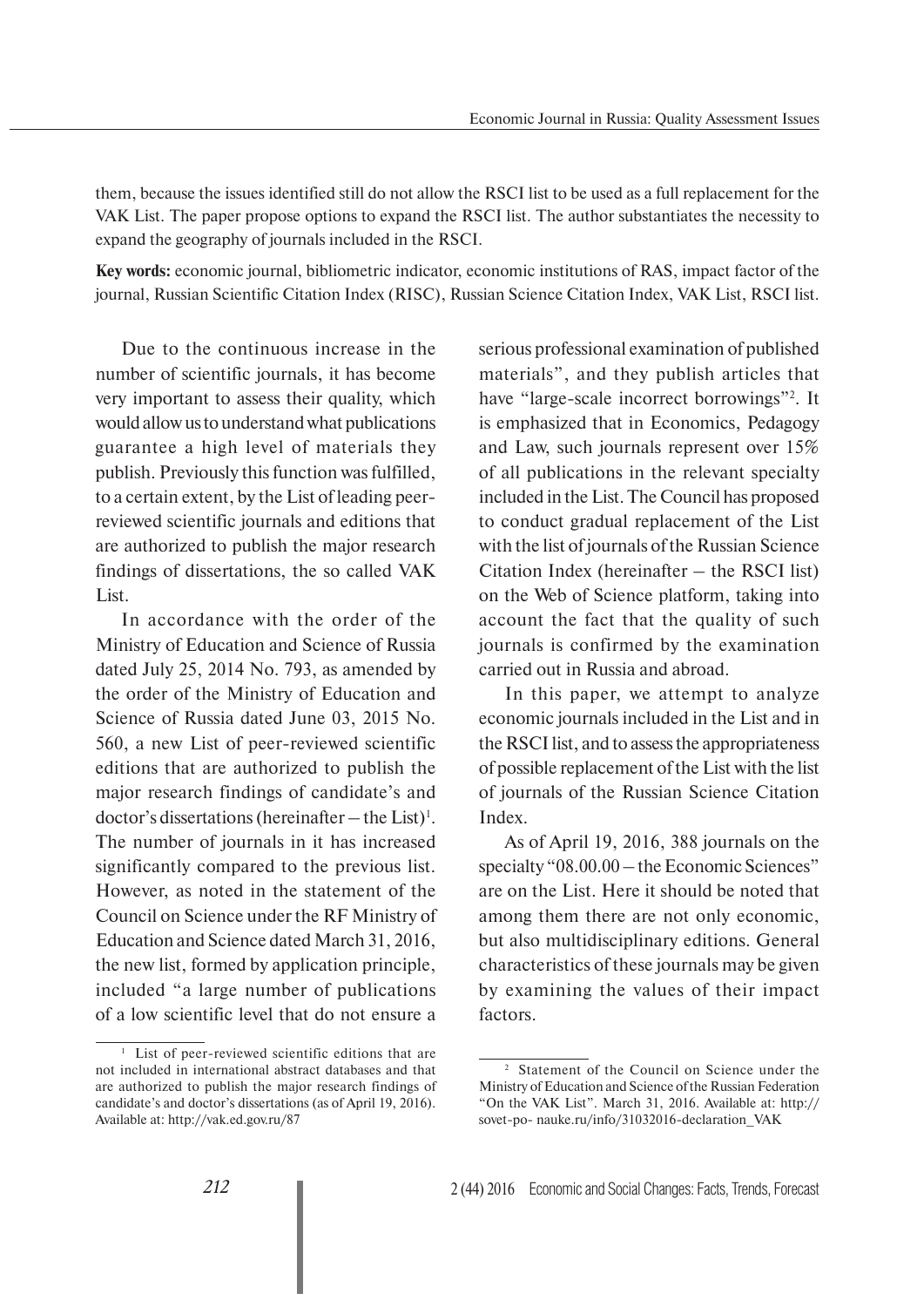them, because the issues identified still do not allow the RSCI list to be used as a full replacement for the VAK List. The paper propose options to expand the RSCI list. The author substantiates the necessity to expand the geography of journals included in the RSCI.

**Key words:** economic journal, bibliometric indicator, economic institutions of RAS, impact factor of the journal, Russian Scientific Citation Index (RISC), Russian Science Citation Index, VAK List, RSCI list.

Due to the continuous increase in the number of scientific journals, it has become very important to assess their quality, which would allow us to understand what publications guarantee a high level of materials they publish. Previously this function was fulfilled, to a certain extent, by the List of leading peerreviewed scientific journals and editions that are authorized to publish the major research findings of dissertations, the so called VAK List.

In accordance with the order of the Ministry of Education and Science of Russia dated July 25, 2014 No. 793, as amended by the order of the Ministry of Education and Science of Russia dated June 03, 2015 No. 560, a new List of peer-reviewed scientific editions that are authorized to publish the major research findings of candidate's and  $doctor's \, dissentations \, (hereinafter - the \, List)^1.$ The number of journals in it has increased significantly compared to the previous list. However, as noted in the statement of the Council on Science under the RF Ministry of Education and Science dated March 31, 2016, the new list, formed by application principle, included "a large number of publications of a low scientific level that do not ensure a

serious professional examination of published materials", and they publish articles that have "large-scale incorrect borrowings"2 . It is emphasized that in Economics, Pedagogy and Law, such journals represent over 15% of all publications in the relevant specialty included in the List. The Council has proposed to conduct gradual replacement of the List with the list of journals of the Russian Science Citation Index (hereinafter – the RSCI list) on the Web of Science platform, taking into account the fact that the quality of such journals is confirmed by the examination carried out in Russia and abroad.

In this paper, we attempt to analyze economic journals included in the List and in the RSCI list, and to assess the appropriateness of possible replacement of the List with the list of journals of the Russian Science Citation Index.

As of April 19, 2016, 388 journals on the specialty "08.00.00 – the Economic Sciences" are on the List. Here it should be noted that among them there are not only economic, but also multidisciplinary editions. General characteristics of these journals may be given by examining the values of their impact factors.

<sup>&</sup>lt;sup>1</sup> List of peer-reviewed scientific editions that are not included in international abstract databases and that are authorized to publish the major research findings of candidate's and doctor's dissertations (as of April 19, 2016). Available at: http://vak.ed.gov.ru/87

<sup>2</sup> Statement of the Council on Science under the Ministry of Education and Science of the Russian Federation "On the VAK List". March 31, 2016. Available at: http:// sovet-po- nauke.ru/info/31032016-declaration\_VAK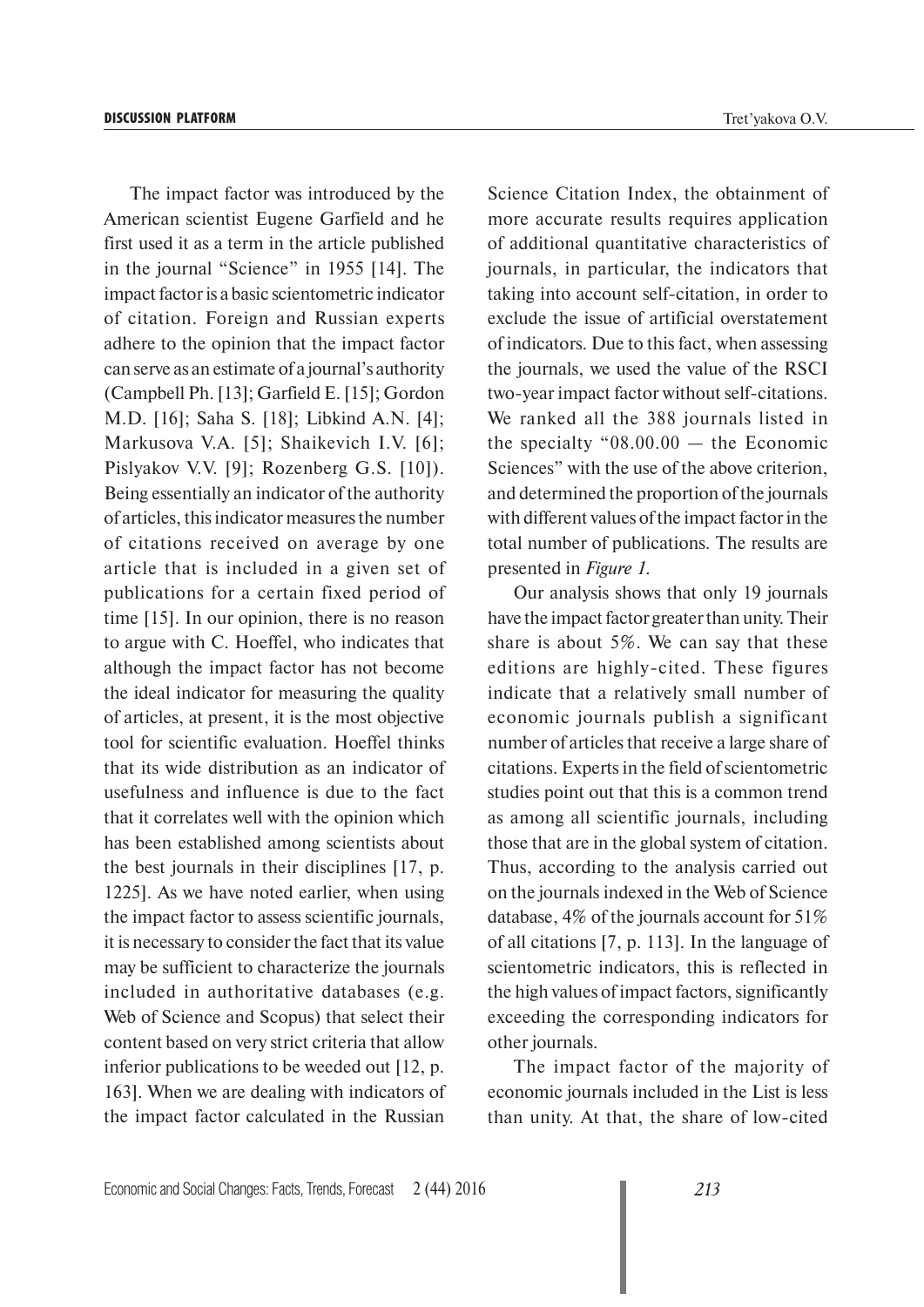The impact factor was introduced by the American scientist Eugene Garfield and he first used it as a term in the article published in the journal "Science" in 1955 [14]. The impact factor is a basic scientometric indicator of citation. Foreign and Russian experts adhere to the opinion that the impact factor can serve as an estimate of a journal's authority (Campbell Ph. [13]; Garfield E. [15]; Gordon M.D. [16]; Saha S. [18]; Libkind A.N. [4]; Markusova V.A. [5]; Shaikevich I.V. [6]; Pislyakov V.V. [9]; Rozenberg G.S. [10]). Being essentially an indicator of the authority of articles, this indicator measures the number of citations received on average by one article that is included in a given set of publications for a certain fixed period of time [15]. In our opinion, there is no reason to argue with C. Hoeffel, who indicates that although the impact factor has not become the ideal indicator for measuring the quality of articles, at present, it is the most objective tool for scientific evaluation. Hoeffel thinks that its wide distribution as an indicator of usefulness and influence is due to the fact that it correlates well with the opinion which has been established among scientists about the best journals in their disciplines [17, p. 1225]. As we have noted earlier, when using the impact factor to assess scientific journals, it is necessary to consider the fact that its value may be sufficient to characterize the journals included in authoritative databases (e.g. Web of Science and Scopus) that select their content based on very strict criteria that allow inferior publications to be weeded out [12, p. 163]. When we are dealing with indicators of the impact factor calculated in the Russian

Economic and Social Changes: Facts, Trends, Forecast 2 (44) 2016 *213*

Science Citation Index, the obtainment of more accurate results requires application of additional quantitative characteristics of journals, in particular, the indicators that taking into account self-citation, in order to exclude the issue of artificial overstatement of indicators. Due to this fact, when assessing the journals, we used the value of the RSCI two-year impact factor without self-citations. We ranked all the 388 journals listed in the specialty " $08.00.00 -$  the Economic Sciences" with the use of the above criterion, and determined the proportion of the journals with different values of the impact factor in the total number of publications. The results are presented in *Figure 1*.

Our analysis shows that only 19 journals have the impact factor greater than unity. Their share is about 5%. We can say that these editions are highly-cited. These figures indicate that a relatively small number of economic journals publish a significant number of articles that receive a large share of citations. Experts in the field of scientometric studies point out that this is a common trend as among all scientific journals, including those that are in the global system of citation. Thus, according to the analysis carried out on the journals indexed in the Web of Science database, 4% of the journals account for 51% of all citations [7, p. 113]. In the language of scientometric indicators, this is reflected in the high values of impact factors, significantly exceeding the corresponding indicators for other journals.

The impact factor of the majority of economic journals included in the List is less than unity. At that, the share of low-cited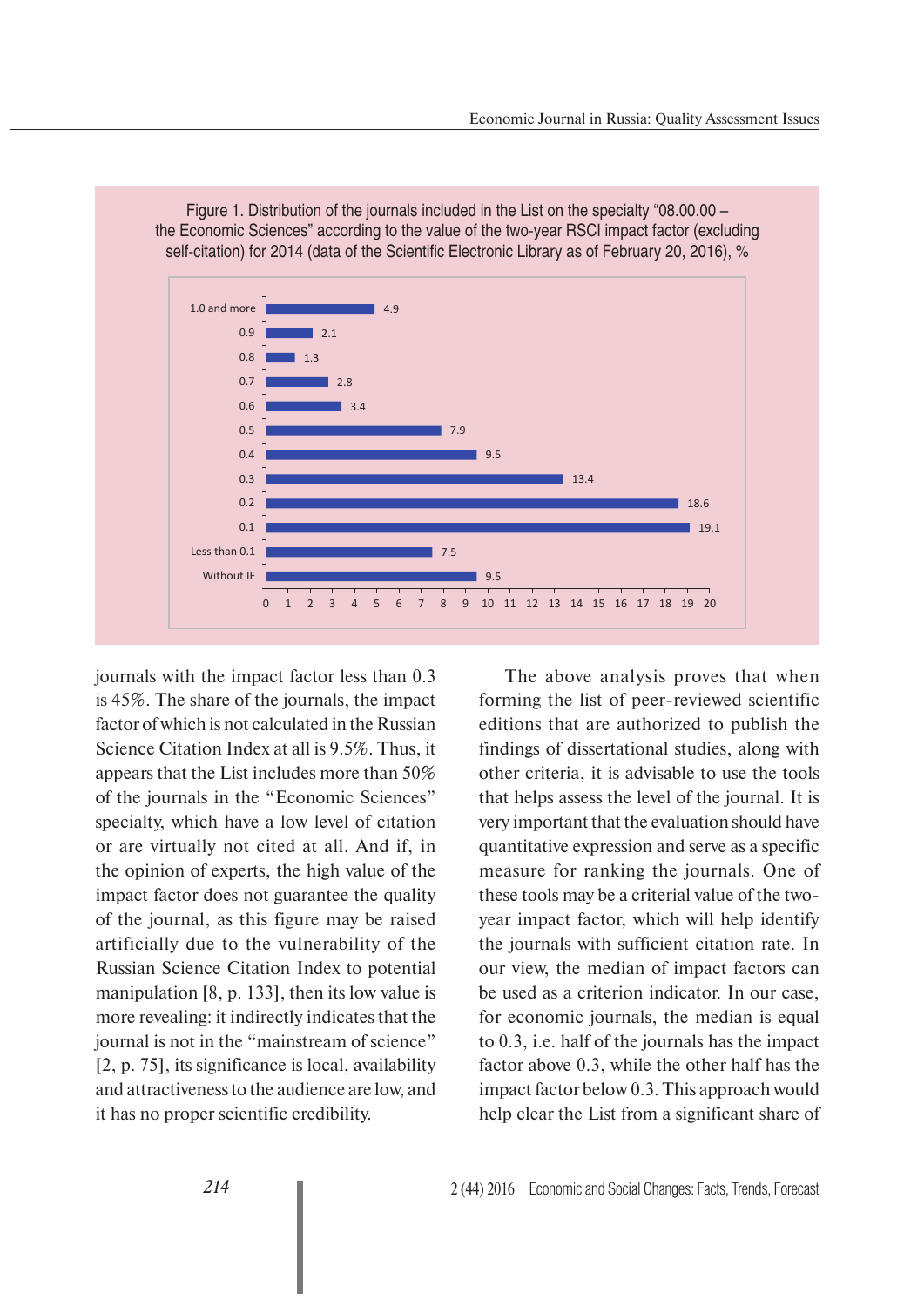

Figure 1. Distribution of the journals included in the List on the specialty "08.00.00 – the Economic Sciences" according to the value of the two-year RSCI impact factor (excluding

journals with the impact factor less than 0.3 is 45%. The share of the journals, the impact factor of which is not calculated in the Russian Science Citation Index at all is 9.5%. Thus, it appears that the List includes more than 50% of the journals in the "Economic Sciences" specialty, which have a low level of citation or are virtually not cited at all. And if, in the opinion of experts, the high value of the impact factor does not guarantee the quality of the journal, as this figure may be raised artificially due to the vulnerability of the Russian Science Citation Index to potential manipulation [8, p. 133], then its low value is more revealing: it indirectly indicates that the journal is not in the "mainstream of science" [2, p. 75], its significance is local, availability and attractiveness to the audience are low, and it has no proper scientific credibility.

The above analysis proves that when forming the list of peer-reviewed scientific editions that are authorized to publish the findings of dissertational studies, along with other criteria, it is advisable to use the tools that helps assess the level of the journal. It is very important that the evaluation should have quantitative expression and serve as a specific measure for ranking the journals. One of these tools may be a criterial value of the twoyear impact factor, which will help identify the journals with sufficient citation rate. In our view, the median of impact factors can be used as a criterion indicator. In our case, for economic journals, the median is equal to 0.3, i.e. half of the journals has the impact factor above 0.3, while the other half has the impact factor below 0.3. This approach would help clear the List from a significant share of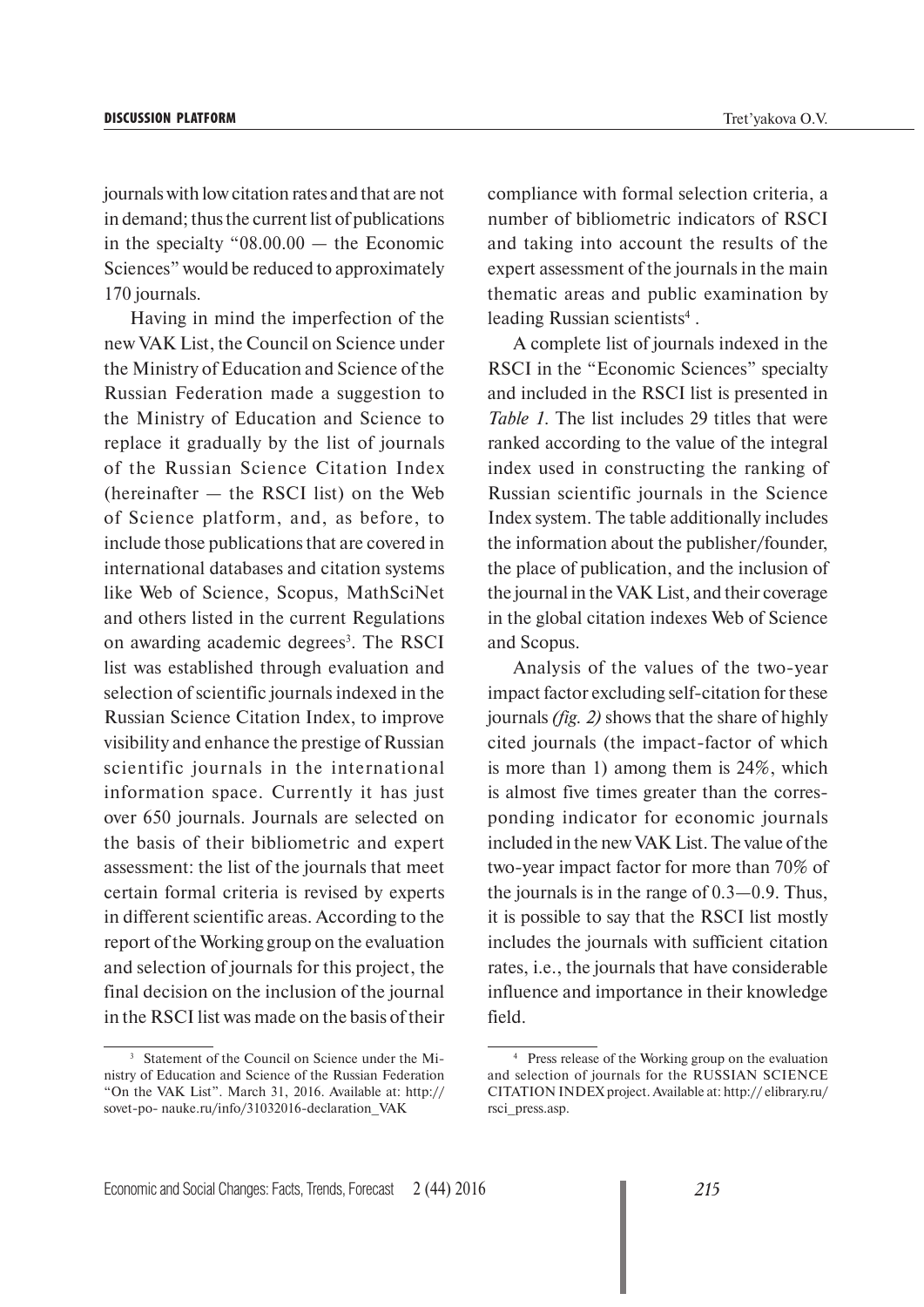journals with low citation rates and that are not in demand; thus the current list of publications in the specialty "08.00.00 — the Economic Sciences" would be reduced to approximately 170 journals.

Having in mind the imperfection of the new VAK List, the Council on Science under the Ministry of Education and Science of the Russian Federation made a suggestion to the Ministry of Education and Science to replace it gradually by the list of journals of the Russian Science Citation Index (hereinafter  $-$  the RSCI list) on the Web of Science platform, and, as before, to include those publications that are covered in international databases and citation systems like Web of Science, Scopus, MathSciNet and others listed in the current Regulations on awarding academic degrees<sup>3</sup>. The RSCI list was established through evaluation and selection of scientific journals indexed in the Russian Science Citation Index, to improve visibility and enhance the prestige of Russian scientific journals in the international information space. Currently it has just over 650 journals. Journals are selected on the basis of their bibliometric and expert assessment: the list of the journals that meet certain formal criteria is revised by experts in different scientific areas. According to the report of the Working group on the evaluation and selection of journals for this project, the final decision on the inclusion of the journal in the RSCI list was made on the basis of their

compliance with formal selection criteria, a number of bibliometric indicators of RSCI and taking into account the results of the expert assessment of the journals in the main thematic areas and public examination by leading Russian scientists<sup>4</sup>.

A complete list of journals indexed in the RSCI in the "Economic Sciences" specialty and included in the RSCI list is presented in *Table 1*. The list includes 29 titles that were ranked according to the value of the integral index used in constructing the ranking of Russian scientific journals in the Science Index system. The table additionally includes the information about the publisher/founder, the place of publication, and the inclusion of the journal in the VAK List, and their coverage in the global citation indexes Web of Science and Scopus.

Analysis of the values of the two-year impact factor excluding self-citation for these journals *(fig. 2)* shows that the share of highly cited journals (the impact-factor of which is more than 1) among them is 24%, which is almost five times greater than the corresponding indicator for economic journals included in the new VAK List. The value of the two-year impact factor for more than 70% of the journals is in the range of 0.3—0.9. Thus, it is possible to say that the RSCI list mostly includes the journals with sufficient citation rates, i.e., the journals that have considerable influence and importance in their knowledge field.

<sup>3</sup> Statement of the Council on Science under the Ministry of Education and Science of the Russian Federation "On the VAK List". March 31, 2016. Available at: http:// sovet-po- nauke.ru/info/31032016-declaration\_VAK

<sup>4</sup> Press release of the Working group on the evaluation and selection of journals for the RUSSIAN SCIENCE CITATION INDEX project. Available at: http:// elibrary.ru/ rsci\_press.asp.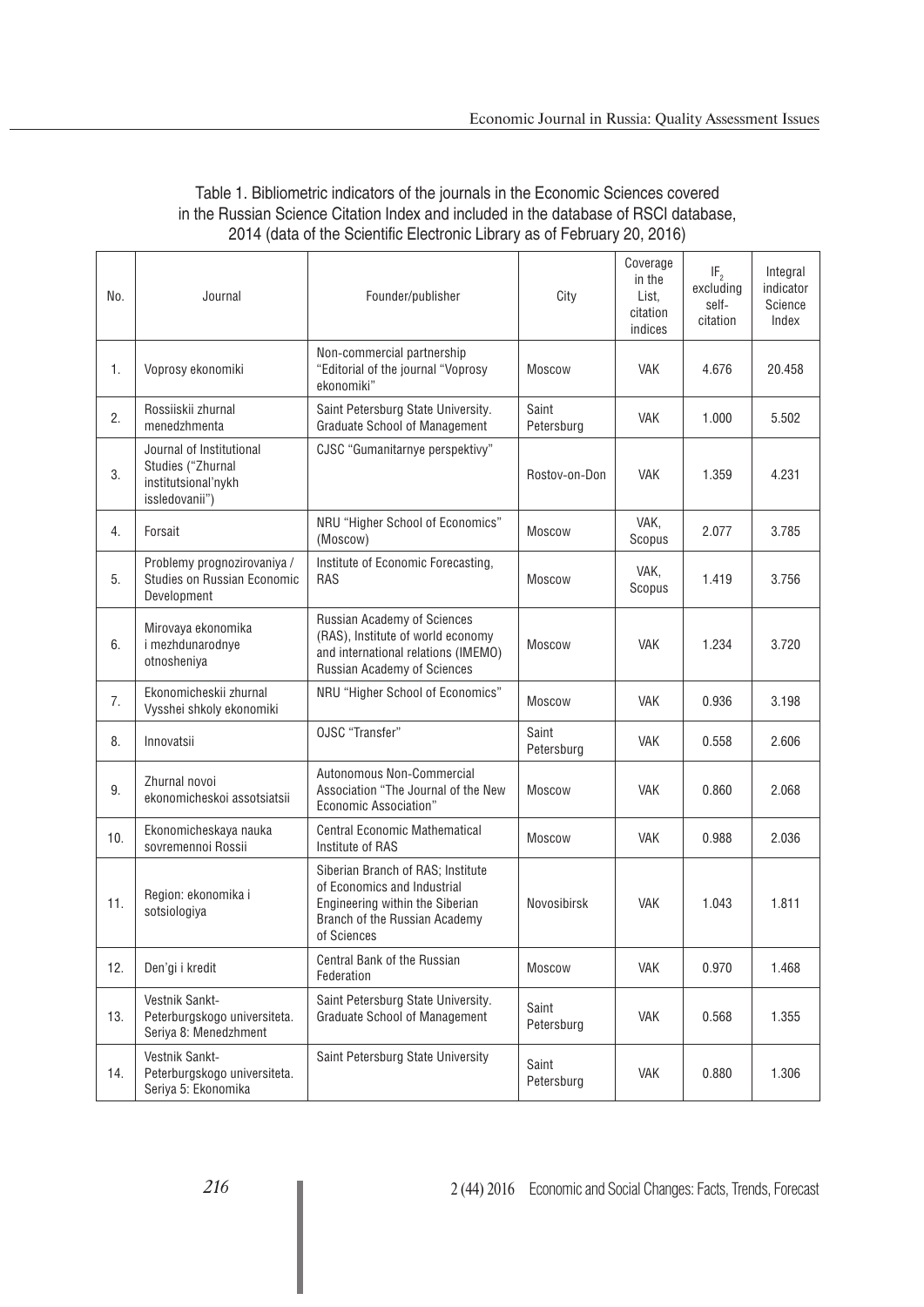| No. | Journal                                                                                | Founder/publisher                                                                                                                                   | City                | Coverage<br>in the<br>List.<br>citation<br>indices | IF <sub>2</sub><br>excluding<br>self-<br>citation | Integral<br>indicator<br>Science<br>Index |
|-----|----------------------------------------------------------------------------------------|-----------------------------------------------------------------------------------------------------------------------------------------------------|---------------------|----------------------------------------------------|---------------------------------------------------|-------------------------------------------|
| 1.  | Voprosy ekonomiki                                                                      | Non-commercial partnership<br>"Editorial of the journal "Voprosy<br>ekonomiki"                                                                      | Moscow              | <b>VAK</b>                                         | 4.676                                             | 20.458                                    |
| 2.  | Rossiiskii zhurnal<br>menedzhmenta                                                     | Saint Petersburg State University.<br><b>Graduate School of Management</b>                                                                          | Saint<br>Petersburg | <b>VAK</b>                                         | 1.000                                             | 5.502                                     |
| 3.  | Journal of Institutional<br>Studies ("Zhurnal<br>institutsional'nykh<br>issledovanii") | CJSC "Gumanitarnye perspektivy"                                                                                                                     | Rostov-on-Don       | <b>VAK</b>                                         | 1.359                                             | 4.231                                     |
| 4.  | Forsait                                                                                | NRU "Higher School of Economics"<br>(Moscow)                                                                                                        | Moscow              | VAK,<br>Scopus                                     | 2.077                                             | 3.785                                     |
| 5.  | Problemy prognozirovaniya /<br>Studies on Russian Economic<br>Development              | Institute of Economic Forecasting,<br><b>RAS</b>                                                                                                    | Moscow              | VAK,<br>Scopus                                     | 1.419                                             | 3.756                                     |
| 6.  | Mirovaya ekonomika<br>i mezhdunarodnye<br>otnosheniya                                  | Russian Academy of Sciences<br>(RAS), Institute of world economy<br>and international relations (IMEMO)<br>Russian Academy of Sciences              | Moscow              | <b>VAK</b>                                         | 1.234                                             | 3.720                                     |
| 7.  | Ekonomicheskii zhurnal<br>Vysshei shkoly ekonomiki                                     | NRU "Higher School of Economics"                                                                                                                    | Moscow              | <b>VAK</b>                                         | 0.936                                             | 3.198                                     |
| 8.  | Innovatsii                                                                             | OJSC "Transfer"                                                                                                                                     | Saint<br>Petersburg | <b>VAK</b>                                         | 0.558                                             | 2.606                                     |
| 9.  | Zhurnal novoi<br>ekonomicheskoi assotsiatsii                                           | Autonomous Non-Commercial<br>Association "The Journal of the New<br><b>Economic Association"</b>                                                    | Moscow              | <b>VAK</b>                                         | 0.860                                             | 2.068                                     |
| 10. | Ekonomicheskaya nauka<br>sovremennoi Rossii                                            | <b>Central Economic Mathematical</b><br>Institute of RAS                                                                                            | Moscow              | <b>VAK</b>                                         | 0.988                                             | 2.036                                     |
| 11. | Region: ekonomika i<br>sotsiologiya                                                    | Siberian Branch of RAS; Institute<br>of Economics and Industrial<br>Engineering within the Siberian<br>Branch of the Russian Academy<br>of Sciences | Novosibirsk         | <b>VAK</b>                                         | 1.043                                             | 1.811                                     |
| 12. | Den'gi i kredit                                                                        | Central Bank of the Russian<br>Federation                                                                                                           | Moscow              | <b>VAK</b>                                         | 0.970                                             | 1.468                                     |
| 13. | Vestnik Sankt-<br>Peterburgskogo universiteta.<br>Seriya 8: Menedzhment                | Saint Petersburg State University.<br><b>Graduate School of Management</b>                                                                          | Saint<br>Petersburg | <b>VAK</b>                                         | 0.568                                             | 1.355                                     |
| 14. | Vestnik Sankt-<br>Peterburgskogo universiteta.<br>Seriya 5: Ekonomika                  | Saint Petersburg State University                                                                                                                   | Saint<br>Petersburg | <b>VAK</b>                                         | 0.880                                             | 1.306                                     |

### Table 1. Bibliometric indicators of the journals in the Economic Sciences covered in the Russian Science Citation Index and included in the database of RSCI database, 2014 (data of the Scientific Electronic Library as of February 20, 2016).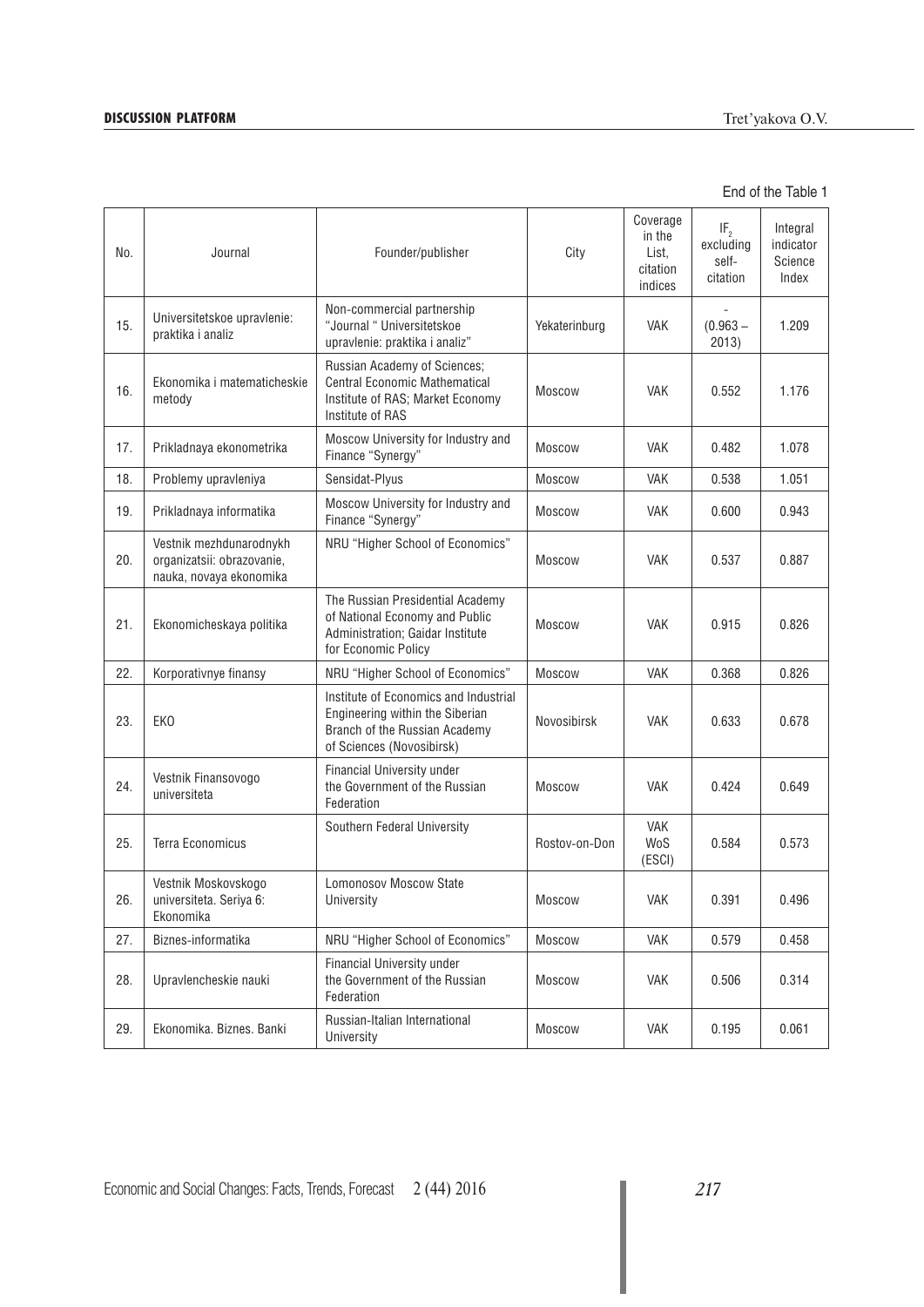# **DISCUSSION PLATFORM** Tret'yakova O.V.

| No. | Journal                                                                          | Founder/publisher                                                                                                                      | City          | Coverage<br>in the<br>List.<br>citation<br>indices | IF <sub>2</sub><br>excluding<br>self-<br>citation | Integral<br>indicator<br>Science<br>Index |
|-----|----------------------------------------------------------------------------------|----------------------------------------------------------------------------------------------------------------------------------------|---------------|----------------------------------------------------|---------------------------------------------------|-------------------------------------------|
| 15. | Universitetskoe upravlenie:<br>praktika i analiz                                 | Non-commercial partnership<br>"Journal " Universitetskoe<br>upravlenie: praktika i analiz"                                             | Yekaterinburg | <b>VAK</b>                                         | $(0.963 -$<br>2013)                               | 1.209                                     |
| 16. | Ekonomika i matematicheskie<br>metody                                            | Russian Academy of Sciences;<br><b>Central Economic Mathematical</b><br>Institute of RAS; Market Economy<br>Institute of RAS           | <b>Moscow</b> | <b>VAK</b>                                         | 0.552                                             | 1.176                                     |
| 17. | Prikladnaya ekonometrika                                                         | Moscow University for Industry and<br>Finance "Synergy"                                                                                | <b>Moscow</b> | <b>VAK</b>                                         | 0.482                                             | 1.078                                     |
| 18. | Problemy upravleniya                                                             | Sensidat-Plyus                                                                                                                         | Moscow        | <b>VAK</b>                                         | 0.538                                             | 1.051                                     |
| 19. | Prikladnaya informatika                                                          | Moscow University for Industry and<br>Finance "Synergy"                                                                                | Moscow        | <b>VAK</b>                                         | 0.600                                             | 0.943                                     |
| 20. | Vestnik mezhdunarodnykh<br>organizatsii: obrazovanie,<br>nauka, novaya ekonomika | NRU "Higher School of Economics"                                                                                                       | <b>Moscow</b> | <b>VAK</b>                                         | 0.537                                             | 0.887                                     |
| 21. | Ekonomicheskaya politika                                                         | The Russian Presidential Academy<br>of National Economy and Public<br>Administration; Gaidar Institute<br>for Economic Policy          | <b>Moscow</b> | <b>VAK</b>                                         | 0.915                                             | 0.826                                     |
| 22. | Korporativnye finansy                                                            | NRU "Higher School of Economics"                                                                                                       | <b>Moscow</b> | <b>VAK</b>                                         | 0.368                                             | 0.826                                     |
| 23. | EK <sub>0</sub>                                                                  | Institute of Economics and Industrial<br>Engineering within the Siberian<br>Branch of the Russian Academy<br>of Sciences (Novosibirsk) | Novosibirsk   | <b>VAK</b>                                         | 0.633                                             | 0.678                                     |
| 24. | Vestnik Finansovogo<br>universiteta                                              | Financial University under<br>the Government of the Russian<br>Federation                                                              | <b>Moscow</b> | <b>VAK</b>                                         | 0.424                                             | 0.649                                     |
| 25. | <b>Terra Economicus</b>                                                          | Southern Federal University                                                                                                            | Rostov-on-Don | <b>VAK</b><br>WoS<br>(ESCI)                        | 0.584                                             | 0.573                                     |
| 26. | Vestnik Moskovskogo<br>universiteta. Seriya 6:<br>Ekonomika                      | <b>Lomonosov Moscow State</b><br>University                                                                                            | Moscow        | VAK                                                | 0.391                                             | 0.496                                     |
| 27. | Biznes-informatika                                                               | NRU "Higher School of Economics"                                                                                                       | <b>Moscow</b> | <b>VAK</b>                                         | 0.579                                             | 0.458                                     |
| 28. | Upravlencheskie nauki                                                            | Financial University under<br>the Government of the Russian<br>Federation                                                              | <b>Moscow</b> | <b>VAK</b>                                         | 0.506                                             | 0.314                                     |
| 29. | Ekonomika. Biznes. Banki                                                         | Russian-Italian International<br>University                                                                                            | Moscow        | <b>VAK</b>                                         | 0.195                                             | 0.061                                     |

End of the Table 1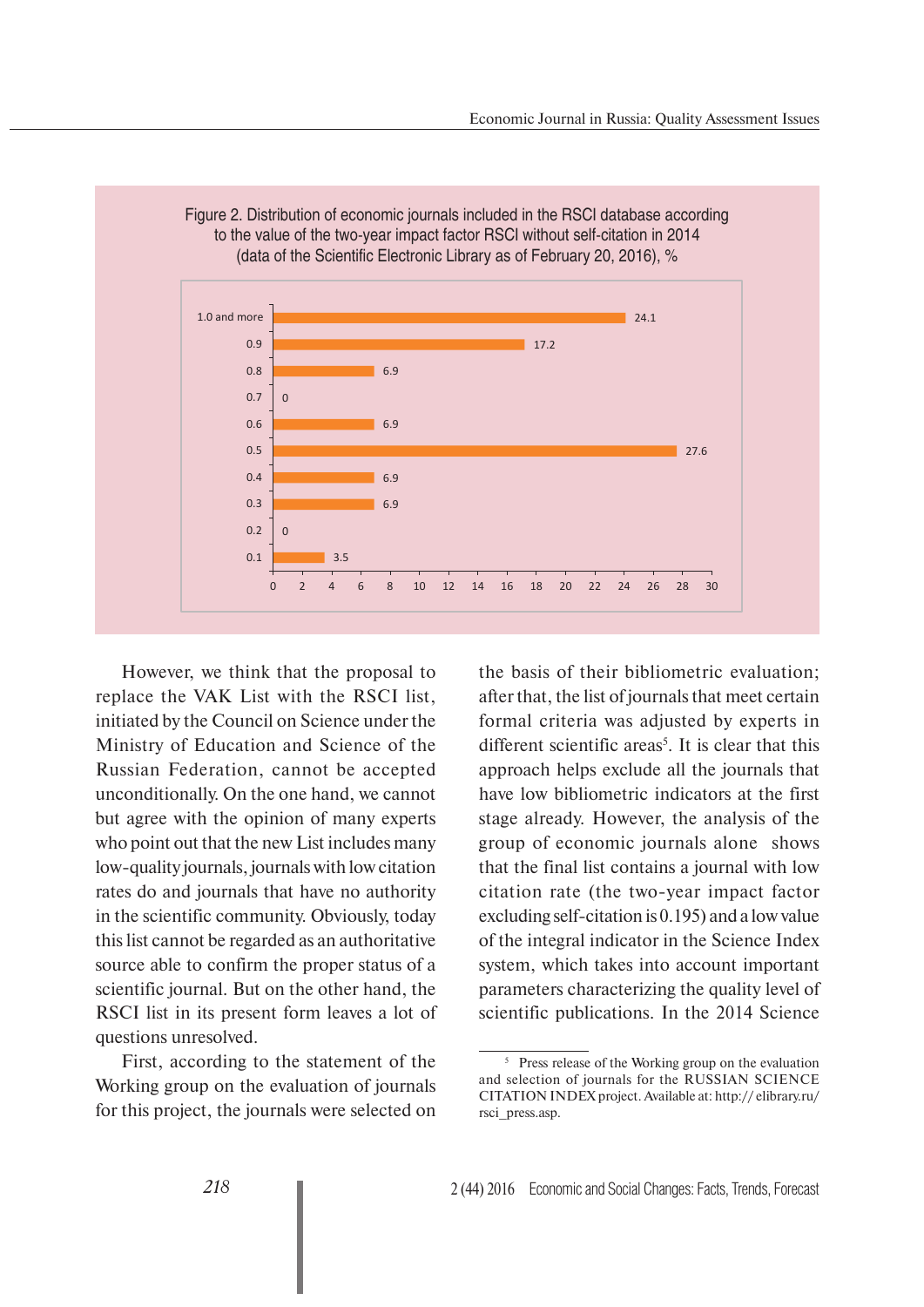

Figure 2. Distribution of economic journals included in the RSCI database according

However, we think that the proposal to replace the VAK List with the RSCI list, initiated by the Council on Science under the Ministry of Education and Science of the Russian Federation, cannot be accepted unconditionally. On the one hand, we cannot but agree with the opinion of many experts who point out that the new List includes many low-quality journals, journals with low citation rates do and journals that have no authority in the scientific community. Obviously, today this list cannot be regarded as an authoritative source able to confirm the proper status of a scientific journal. But on the other hand, the RSCI list in its present form leaves a lot of questions unresolved.

First, according to the statement of the Working group on the evaluation of journals for this project, the journals were selected on the basis of their bibliometric evaluation; after that, the list of journals that meet certain formal criteria was adjusted by experts in different scientific areas<sup>5</sup>. It is clear that this approach helps exclude all the journals that have low bibliometric indicators at the first stage already. However, the analysis of the group of economic journals alone shows that the final list contains a journal with low citation rate (the two-year impact factor excluding self-citation is 0.195) and a low value of the integral indicator in the Science Index system, which takes into account important parameters characterizing the quality level of scientific publications. In the 2014 Science

<sup>5</sup> Press release of the Working group on the evaluation and selection of journals for the RUSSIAN SCIENCE CITATION INDEX project. Available at: http:// elibrary.ru/ rsci\_press.asp.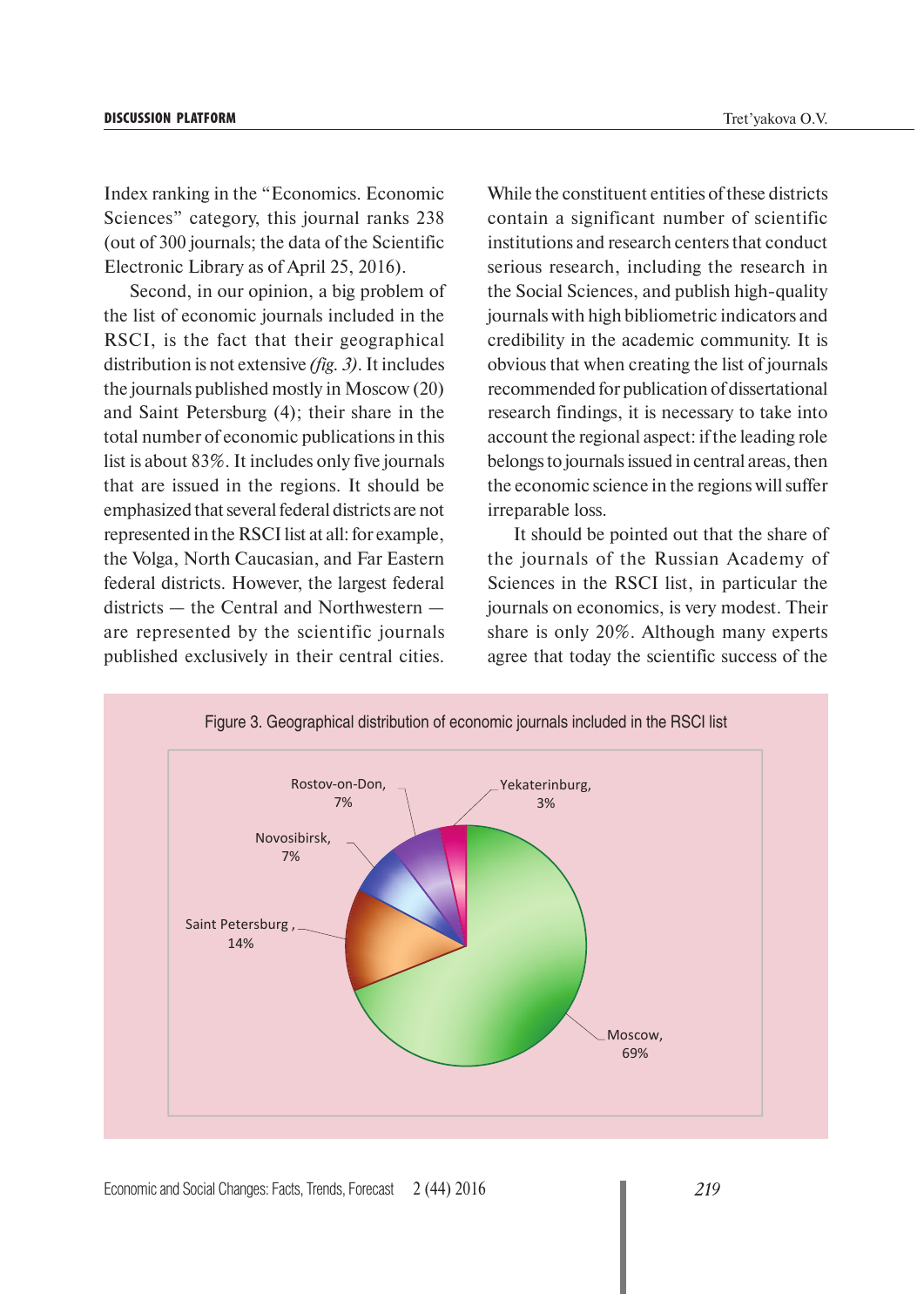Index ranking in the "Economics. Economic Sciences" category, this journal ranks 238 (out of 300 journals; the data of the Scientific Electronic Library as of April 25, 2016).

Second, in our opinion, a big problem of the list of economic journals included in the RSCI, is the fact that their geographical distribution is not extensive *(fig. 3)*. It includes the journals published mostly in Moscow (20) and Saint Petersburg (4); their share in the total number of economic publications in this list is about 83%. It includes only five journals that are issued in the regions. It should be emphasized that several federal districts are not represented in the RSCI list at all: for example, the Volga, North Caucasian, and Far Eastern federal districts. However, the largest federal districts — the Central and Northwestern are represented by the scientific journals published exclusively in their central cities.

While the constituent entities of these districts contain a significant number of scientific institutions and research centers that conduct serious research, including the research in the Social Sciences, and publish high-quality journals with high bibliometric indicators and credibility in the academic community. It is obvious that when creating the list of journals recommended for publication of dissertational research findings, it is necessary to take into account the regional aspect: if the leading role belongs to journals issued in central areas, then the economic science in the regions will suffer irreparable loss.

It should be pointed out that the share of the journals of the Russian Academy of Sciences in the RSCI list, in particular the journals on economics, is very modest. Their share is only 20%. Although many experts agree that today the scientific success of the



Economic and Social Changes: Facts, Trends, Forecast 2 (44) 2016 *219*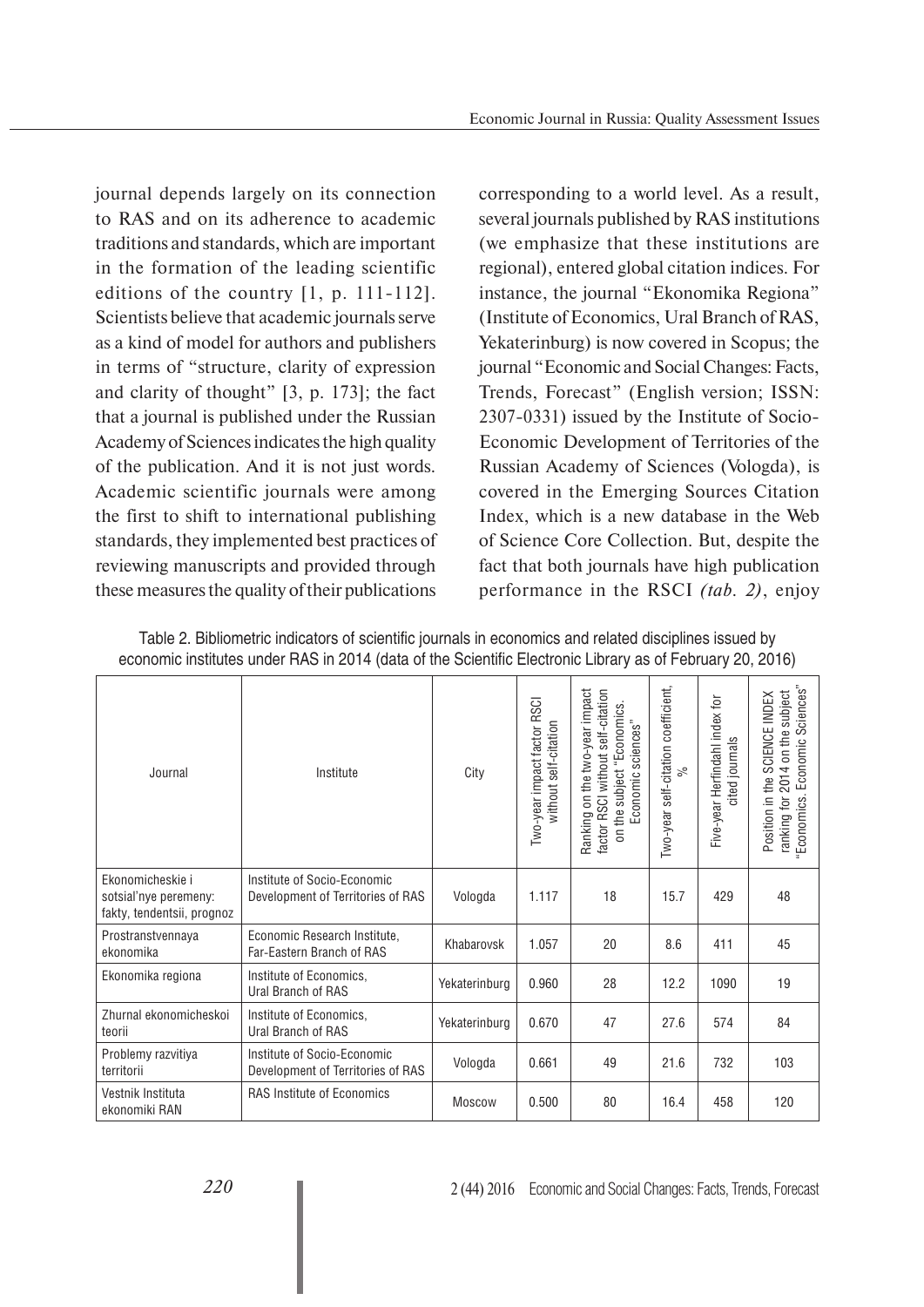journal depends largely on its connection to RAS and on its adherence to academic traditions and standards, which are important in the formation of the leading scientific editions of the country [1, p. 111-112]. Scientists believe that academic journals serve as a kind of model for authors and publishers in terms of "structure, clarity of expression and clarity of thought" [3, p. 173]; the fact that a journal is published under the Russian Academy of Sciences indicates the high quality of the publication. And it is not just words. Academic scientific journals were among the first to shift to international publishing standards, they implemented best practices of reviewing manuscripts and provided through these measures the quality of their publications

corresponding to a world level. As a result, several journals published by RAS institutions (we emphasize that these institutions are regional), entered global citation indices. For instance, the journal "Ekonomika Regiona" (Institute of Economics, Ural Branch of RAS, Yekaterinburg) is now covered in Scopus; the journal "Economic and Social Changes: Facts, Trends, Forecast" (English version; ISSN: 2307-0331) issued by the Institute of Socio-Economic Development of Territories of the Russian Academy of Sciences (Vologda), is covered in the Emerging Sources Citation Index, which is a new database in the Web of Science Core Collection. But, despite the fact that both journals have high publication performance in the RSCI *(tab. 2)*, enjoy

|                                                                                                           | Table 2. Bibliometric indicators of scientific journals in economics and related disciplines issued by |  |
|-----------------------------------------------------------------------------------------------------------|--------------------------------------------------------------------------------------------------------|--|
| economic institutes under RAS in 2014 (data of the Scientific Electronic Library as of February 20, 2016) |                                                                                                        |  |

| Journal                                                                 | Institute                                                        | City          | Two-year impact factor RSCI<br>without self-citation | on the two-year impact<br>factor RSCI without self-citation<br>on the subject "Economics.<br>sciences"<br>Economic<br>Ranking | Two-year self-citation coefficient,<br>ಸಿ | Five-year Herfindahl index for<br>cited journals | Sciences"<br>2014 on the subject<br>Position in the SCIENCE INDEX<br>Economic<br>Economics.<br>ranking for |
|-------------------------------------------------------------------------|------------------------------------------------------------------|---------------|------------------------------------------------------|-------------------------------------------------------------------------------------------------------------------------------|-------------------------------------------|--------------------------------------------------|------------------------------------------------------------------------------------------------------------|
| Ekonomicheskie i<br>sotsial'nye peremeny:<br>fakty, tendentsii, prognoz | Institute of Socio-Economic<br>Development of Territories of RAS | Vologda       | 1.117                                                | 18                                                                                                                            | 15.7                                      | 429                                              | 48                                                                                                         |
| Prostranstvennaya<br>ekonomika                                          | Economic Research Institute,<br>Far-Eastern Branch of RAS        | Khabarovsk    | 1.057                                                | 20                                                                                                                            | 8.6                                       | 411                                              | 45                                                                                                         |
| Ekonomika regiona                                                       | Institute of Economics,<br>Ural Branch of RAS                    | Yekaterinburg | 0.960                                                | 28                                                                                                                            | 12.2                                      | 1090                                             | 19                                                                                                         |
| Zhurnal ekonomicheskoj<br>teorii                                        | Institute of Economics.<br>Ural Branch of RAS                    | Yekaterinburg | 0.670                                                | 47                                                                                                                            | 27.6                                      | 574                                              | 84                                                                                                         |
| Problemy razvitiya<br>territorii                                        | Institute of Socio-Economic<br>Development of Territories of RAS | Vologda       | 0.661                                                | 49                                                                                                                            | 21.6                                      | 732                                              | 103                                                                                                        |
| Vestnik Instituta<br>ekonomiki RAN                                      | <b>RAS Institute of Economics</b>                                | <b>Moscow</b> | 0.500                                                | 80                                                                                                                            | 16.4                                      | 458                                              | 120                                                                                                        |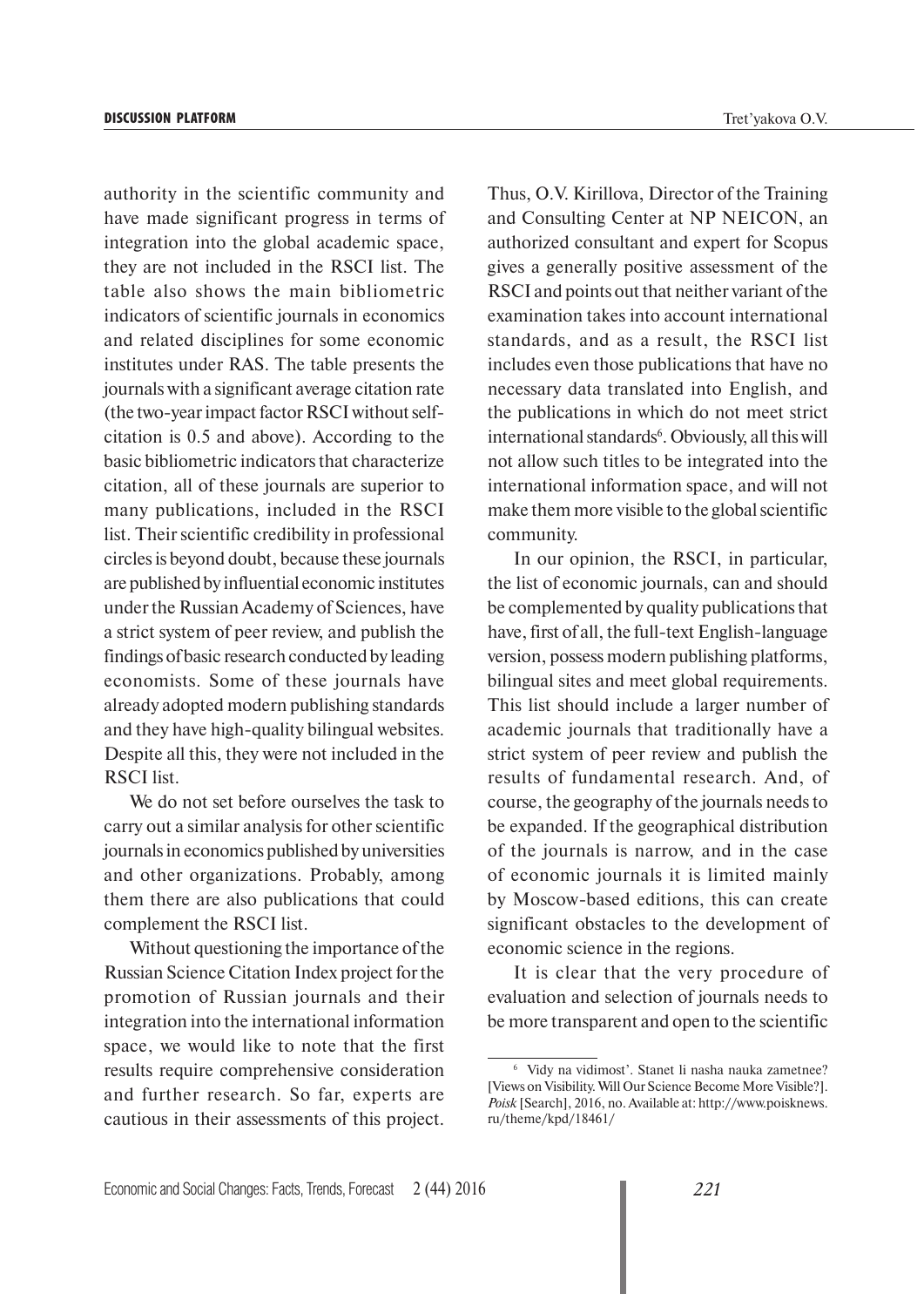authority in the scientific community and have made significant progress in terms of integration into the global academic space, they are not included in the RSCI list. The table also shows the main bibliometric indicators of scientific journals in economics and related disciplines for some economic institutes under RAS. The table presents the journals with a significant average citation rate (the two-year impact factor RSCI without selfcitation is 0.5 and above). According to the basic bibliometric indicators that characterize citation, all of these journals are superior to many publications, included in the RSCI list. Their scientific credibility in professional circles is beyond doubt, because these journals are published by influential economic institutes under the Russian Academy of Sciences, have a strict system of peer review, and publish the findings of basic research conducted by leading economists. Some of these journals have already adopted modern publishing standards and they have high-quality bilingual websites. Despite all this, they were not included in the RSCI list.

We do not set before ourselves the task to carry out a similar analysis for other scientific journals in economics published by universities and other organizations. Probably, among them there are also publications that could complement the RSCI list.

Without questioning the importance of the Russian Science Citation Index project for the promotion of Russian journals and their integration into the international information space, we would like to note that the first results require comprehensive consideration and further research. So far, experts are cautious in their assessments of this project. Thus, O.V. Kirillova, Director of the Training and Consulting Center at NP NEICON, an authorized consultant and expert for Scopus gives a generally positive assessment of the RSCI and points out that neither variant of the examination takes into account international standards, and as a result, the RSCI list includes even those publications that have no necessary data translated into English, and the publications in which do not meet strict international standards<sup>6</sup>. Obviously, all this will not allow such titles to be integrated into the international information space, and will not make them more visible to the global scientific community.

In our opinion, the RSCI, in particular, the list of economic journals, can and should be complemented by quality publications that have, first of all, the full-text English-language version, possess modern publishing platforms, bilingual sites and meet global requirements. This list should include a larger number of academic journals that traditionally have a strict system of peer review and publish the results of fundamental research. And, of course, the geography of the journals needs to be expanded. If the geographical distribution of the journals is narrow, and in the case of economic journals it is limited mainly by Moscow-based editions, this can create significant obstacles to the development of economic science in the regions.

It is clear that the very procedure of evaluation and selection of journals needs to be more transparent and open to the scientific

<sup>6</sup> Vidy na vidimost'. Stanet li nasha nauka zametnee? [Views on Visibility. Will Our Science Become More Visible?]. Poisk [Search], 2016, no. Available at: http://www.poisknews. ru/theme/kpd/18461/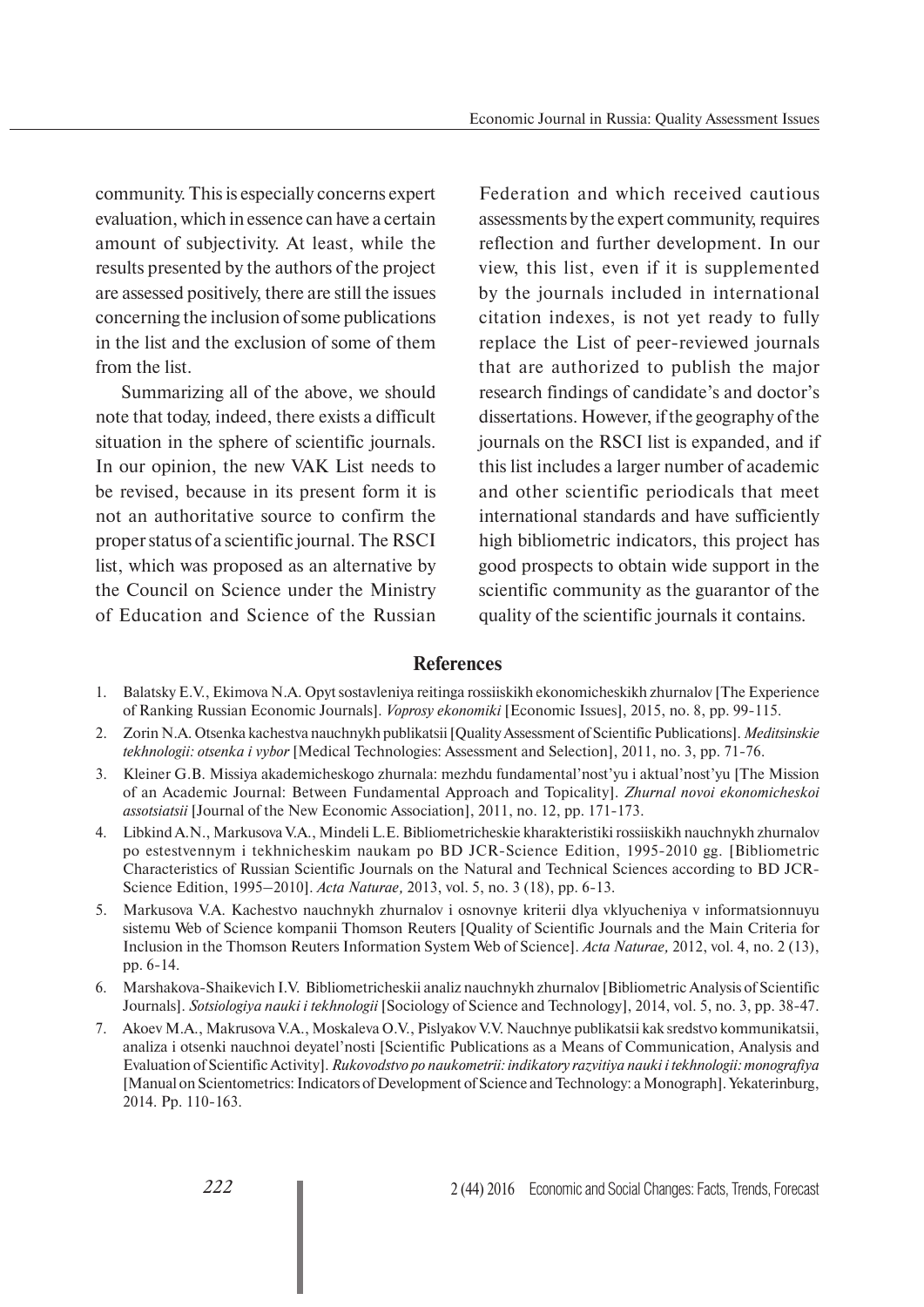community. This is especially concerns expert evaluation, which in essence can have a certain amount of subjectivity. At least, while the results presented by the authors of the project are assessed positively, there are still the issues concerning the inclusion of some publications in the list and the exclusion of some of them from the list.

Summarizing all of the above, we should note that today, indeed, there exists a difficult situation in the sphere of scientific journals. In our opinion, the new VAK List needs to be revised, because in its present form it is not an authoritative source to confirm the proper status of a scientific journal. The RSCI list, which was proposed as an alternative by the Council on Science under the Ministry of Education and Science of the Russian

Federation and which received cautious assessments by the expert community, requires reflection and further development. In our view, this list, even if it is supplemented by the journals included in international citation indexes, is not yet ready to fully replace the List of peer-reviewed journals that are authorized to publish the major research findings of candidate's and doctor's dissertations. However, if the geography of the journals on the RSCI list is expanded, and if this list includes a larger number of academic and other scientific periodicals that meet international standards and have sufficiently high bibliometric indicators, this project has good prospects to obtain wide support in the scientific community as the guarantor of the quality of the scientific journals it contains.

#### **References**

- 1. Balatsky E.V., Ekimova N.A. Opyt sostavleniya reitinga rossiiskikh ekonomicheskikh zhurnalov [The Experience of Ranking Russian Economic Journals]. *Voprosy ekonomiki* [Economic Issues], 2015, no. 8, pp. 99-115.
- 2. Zorin N.A. Otsenka kachestva nauchnykh publikatsii [Quality Assessment of Scientific Publications]. *Meditsinskie tekhnologii: otsenka i vybor* [Medical Technologies: Assessment and Selection], 2011, no. 3, pp. 71-76.
- 3. Kleiner G.B. Missiya akademicheskogo zhurnala: mezhdu fundamental'nost'yu i aktual'nost'yu [The Mission of an Academic Journal: Between Fundamental Approach and Topicality]. *Zhurnal novoi ekonomicheskoi assotsiatsii* [Journal of the New Economic Association], 2011, no. 12, pp. 171-173.
- 4. Libkind A.N., Markusova V.A., Mindeli L.E. Bibliometricheskie kharakteristiki rossiiskikh nauchnykh zhurnalov po estestvennym i tekhnicheskim naukam po BD JCR-Science Edition, 1995-2010 gg. [Bibliometric Characteristics of Russian Scientific Journals on the Natural and Technical Sciences according to BD JCR-Science Edition, 1995–2010]. *Acta Naturae,* 2013, vol. 5, no. 3 (18), pp. 6-13.
- 5. Markusova V.A. Kachestvo nauchnykh zhurnalov i osnovnye kriterii dlya vklyucheniya v informatsionnuyu sistemu Web of Science kompanii Thomson Reuters [Quality of Scientific Journals and the Main Criteria for Inclusion in the Thomson Reuters Information System Web of Science]. *Acta Naturae,* 2012, vol. 4, no. 2 (13), pp. 6-14.
- 6. Marshakova-Shaikevich I.V. Bibliometricheskii analiz nauchnykh zhurnalov [Bibliometric Analysis of Scientific Journals]. *Sotsiologiya nauki i tekhnologii* [Sociology of Science and Technology], 2014, vol. 5, no. 3, pp. 38-47.
- 7. Akoev M.A., Makrusova V.A., Moskaleva O.V., Pislyakov V.V. Nauchnye publikatsii kak sredstvo kommunikatsii, analiza i otsenki nauchnoi deyatel'nosti [Scientific Publications as a Means of Communication, Analysis and Evaluation of Scientific Activity]. *Rukovodstvo po naukometrii: indikatory razvitiya nauki i tekhnologii: monografiya* [Manual on Scientometrics: Indicators of Development of Science and Technology: a Monograph]. Yekaterinburg, 2014. Pp. 110-163.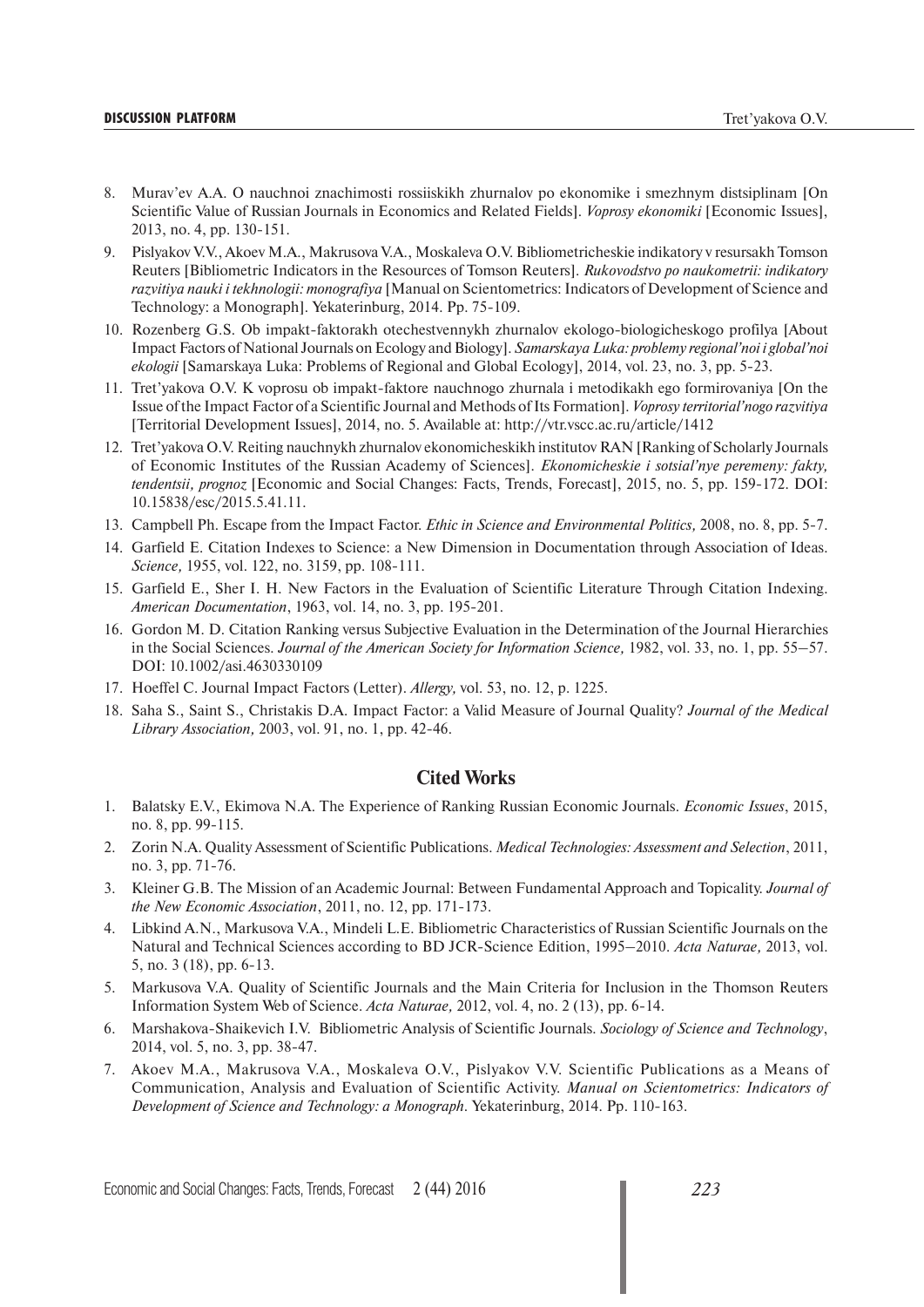#### **DISCUSSION PLATFORM** Tret'yakova O.V.

- 8. Murav'ev A.A. O nauchnoi znachimosti rossiiskikh zhurnalov po ekonomike i smezhnym distsiplinam [On Scientific Value of Russian Journals in Economics and Related Fields]. *Voprosy ekonomiki* [Economic Issues], 2013, no. 4, pp. 130-151.
- 9. Pislyakov V.V., Akoev M.A., Makrusova V.A., Moskaleva O.V. Bibliometricheskie indikatory v resursakh Tomson Reuters [Bibliometric Indicators in the Resources of Tomson Reuters]. *Rukovodstvo po naukometrii: indikatory razvitiya nauki i tekhnologii: monografiya* [Manual on Scientometrics: Indicators of Development of Science and Technology: a Monograph]. Yekaterinburg, 2014. Pp. 75-109.
- 10. Rozenberg G.S. Ob impakt-faktorakh otechestvennykh zhurnalov ekologo-biologicheskogo profilya [About Impact Factors of National Journals on Ecology and Biology]. *Samarskaya Luka: problemy regional'noi i global'noi ekologii* [Samarskaya Luka: Problems of Regional and Global Ecology], 2014, vol. 23, no. 3, pp. 5-23.
- 11. Tret'yakova O.V. K voprosu ob impakt-faktore nauchnogo zhurnala i metodikakh ego formirovaniya [On the Issue of the Impact Factor of a Scientific Journal and Methods of Its Formation]. *Voprosy territorial'nogo razvitiya* [Territorial Development Issues], 2014, no. 5. Available at: http://vtr.vscc.ac.ru/article/1412
- 12. Tret'yakova O.V. Reiting nauchnykh zhurnalov ekonomicheskikh institutov RAN [Ranking of Scholarly Journals of Economic Institutes of the Russian Academy of Sciences]. *Ekonomicheskie i sotsial'nye peremeny: fakty, tendentsii, prognoz* [Economic and Social Changes: Facts, Trends, Forecast], 2015, no. 5, pp. 159-172. DOI: 10.15838/esc/2015.5.41.11.
- 13. Campbell Ph. Escape from the Impact Factor. *Ethic in Science and Environmental Politics,* 2008, no. 8, pp. 5-7.
- 14. Garfield E. Citation Indexes to Science: a New Dimension in Documentation through Association of Ideas. *Science,* 1955, vol. 122, no. 3159, pp. 108-111.
- 15. Garfield E., Sher I. H. New Factors in the Evaluation of Scientific Literature Through Citation Indexing. *American Documentation*, 1963, vol. 14, no. 3, pp. 195-201.
- 16. Gordon M. D. Citation Ranking versus Subjective Evaluation in the Determination of the Journal Hierarchies in the Social Sciences. *Journal of the American Society for Information Science,* 1982, vol. 33, no. 1, pp. 55–57. DOI: 10.1002/asi.4630330109
- 17. Hoeffel C. Journal Impact Factors (Letter). *Allergy,* vol. 53, no. 12, p. 1225.
- 18. Saha S., Saint S., Christakis D.A. Impact Factor: a Valid Measure of Journal Quality? *Journal of the Medical Library Association,* 2003, vol. 91, no. 1, pp. 42-46.

#### **Cited Works**

- 1. Balatsky E.V., Ekimova N.A. The Experience of Ranking Russian Economic Journals. *Economic Issues*, 2015, no. 8, pp. 99-115.
- 2. Zorin N.A. Quality Assessment of Scientific Publications. *Medical Technologies: Assessment and Selection*, 2011, no. 3, pp. 71-76.
- 3. Kleiner G.B. The Mission of an Academic Journal: Between Fundamental Approach and Topicality. *Journal of the New Economic Association*, 2011, no. 12, pp. 171-173.
- 4. Libkind A.N., Markusova V.A., Mindeli L.E. Bibliometric Characteristics of Russian Scientific Journals on the Natural and Technical Sciences according to BD JCR-Science Edition, 1995–2010. *Acta Naturae,* 2013, vol. 5, no. 3 (18), pp. 6-13.
- 5. Markusova V.A. Quality of Scientific Journals and the Main Criteria for Inclusion in the Thomson Reuters Information System Web of Science. *Acta Naturae,* 2012, vol. 4, no. 2 (13), pp. 6-14.
- 6. Marshakova-Shaikevich I.V. Bibliometric Analysis of Scientific Journals. *Sociology of Science and Technology*, 2014, vol. 5, no. 3, pp. 38-47.
- 7. Akoev M.A., Makrusova V.A., Moskaleva O.V., Pislyakov V.V. Scientific Publications as a Means of Communication, Analysis and Evaluation of Scientific Activity. *Manual on Scientometrics: Indicators of Development of Science and Technology: a Monograph.* Yekaterinburg, 2014. Pp. 110-163.